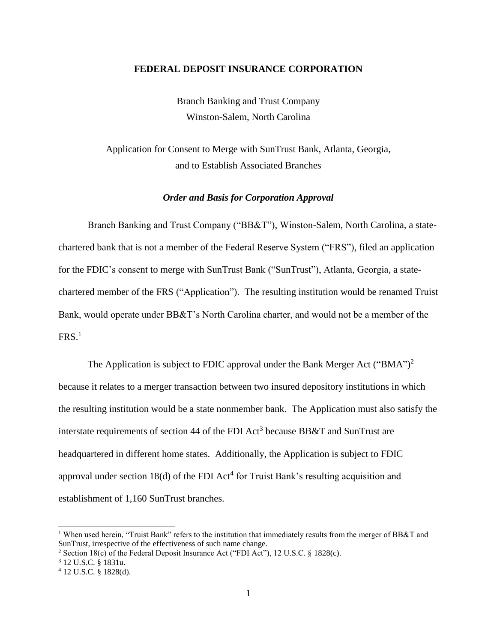### **FEDERAL DEPOSIT INSURANCE CORPORATION**

Branch Banking and Trust Company Winston-Salem, North Carolina

Application for Consent to Merge with SunTrust Bank, Atlanta, Georgia, and to Establish Associated Branches

### *Order and Basis for Corporation Approval*

Branch Banking and Trust Company ("BB&T"), Winston-Salem, North Carolina, a statechartered bank that is not a member of the Federal Reserve System ("FRS"), filed an application for the FDIC's consent to merge with SunTrust Bank ("SunTrust"), Atlanta, Georgia, a statechartered member of the FRS ("Application"). The resulting institution would be renamed Truist Bank, would operate under BB&T's North Carolina charter, and would not be a member of the  $\mathrm{FRS}.^{1}$ 

The Application is subject to FDIC approval under the Bank Merger Act ("BMA")<sup>2</sup> because it relates to a merger transaction between two insured depository institutions in which the resulting institution would be a state nonmember bank. The Application must also satisfy the interstate requirements of section 44 of the FDI Act<sup>3</sup> because BB&T and SunTrust are headquartered in different home states. Additionally, the Application is subject to FDIC approval under section  $18(d)$  of the FDI Act<sup>4</sup> for Truist Bank's resulting acquisition and establishment of 1,160 SunTrust branches.

<sup>&</sup>lt;sup>1</sup> When used herein, "Truist Bank" refers to the institution that immediately results from the merger of BB&T and SunTrust, irrespective of the effectiveness of such name change.

<sup>2</sup> Section 18(c) of the Federal Deposit Insurance Act ("FDI Act"), 12 U.S.C. § 1828(c).

<sup>3</sup> 12 U.S.C. § 1831u.

<sup>4</sup> 12 U.S.C. § 1828(d).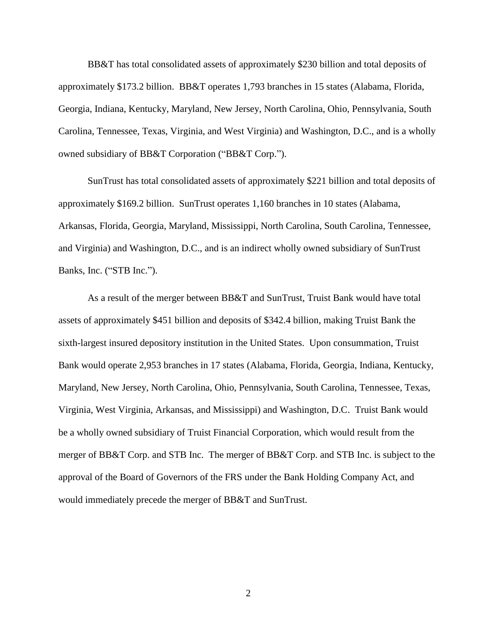BB&T has total consolidated assets of approximately \$230 billion and total deposits of approximately \$173.2 billion. BB&T operates 1,793 branches in 15 states (Alabama, Florida, Georgia, Indiana, Kentucky, Maryland, New Jersey, North Carolina, Ohio, Pennsylvania, South Carolina, Tennessee, Texas, Virginia, and West Virginia) and Washington, D.C., and is a wholly owned subsidiary of BB&T Corporation ("BB&T Corp.").

SunTrust has total consolidated assets of approximately \$221 billion and total deposits of approximately \$169.2 billion. SunTrust operates 1,160 branches in 10 states (Alabama, Arkansas, Florida, Georgia, Maryland, Mississippi, North Carolina, South Carolina, Tennessee, and Virginia) and Washington, D.C., and is an indirect wholly owned subsidiary of SunTrust Banks, Inc. ("STB Inc.").

As a result of the merger between BB&T and SunTrust, Truist Bank would have total assets of approximately \$451 billion and deposits of \$342.4 billion, making Truist Bank the sixth-largest insured depository institution in the United States. Upon consummation, Truist Bank would operate 2,953 branches in 17 states (Alabama, Florida, Georgia, Indiana, Kentucky, Maryland, New Jersey, North Carolina, Ohio, Pennsylvania, South Carolina, Tennessee, Texas, Virginia, West Virginia, Arkansas, and Mississippi) and Washington, D.C. Truist Bank would be a wholly owned subsidiary of Truist Financial Corporation, which would result from the merger of BB&T Corp. and STB Inc. The merger of BB&T Corp. and STB Inc. is subject to the approval of the Board of Governors of the FRS under the Bank Holding Company Act, and would immediately precede the merger of BB&T and SunTrust.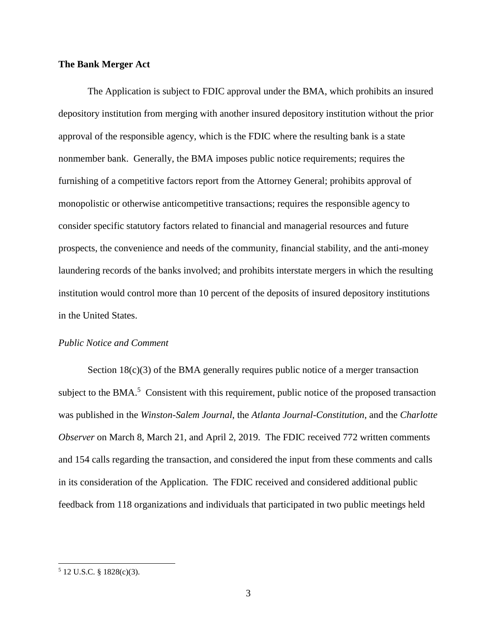# **The Bank Merger Act**

The Application is subject to FDIC approval under the BMA, which prohibits an insured depository institution from merging with another insured depository institution without the prior approval of the responsible agency, which is the FDIC where the resulting bank is a state nonmember bank. Generally, the BMA imposes public notice requirements; requires the furnishing of a competitive factors report from the Attorney General; prohibits approval of monopolistic or otherwise anticompetitive transactions; requires the responsible agency to consider specific statutory factors related to financial and managerial resources and future prospects, the convenience and needs of the community, financial stability, and the anti-money laundering records of the banks involved; and prohibits interstate mergers in which the resulting institution would control more than 10 percent of the deposits of insured depository institutions in the United States.

### *Public Notice and Comment*

Section 18(c)(3) of the BMA generally requires public notice of a merger transaction subject to the BMA. $<sup>5</sup>$  Consistent with this requirement, public notice of the proposed transaction</sup> was published in the *Winston-Salem Journal*, the *Atlanta Journal-Constitution*, and the *Charlotte Observer* on March 8, March 21, and April 2, 2019. The FDIC received 772 written comments and 154 calls regarding the transaction, and considered the input from these comments and calls in its consideration of the Application. The FDIC received and considered additional public feedback from 118 organizations and individuals that participated in two public meetings held

 $5$  12 U.S.C. § 1828(c)(3).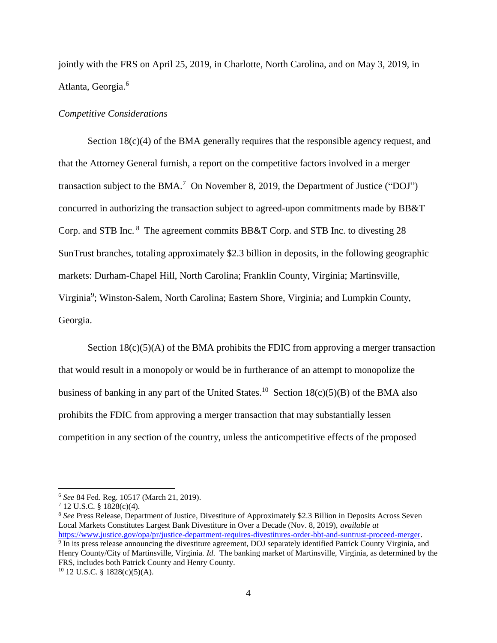jointly with the FRS on April 25, 2019, in Charlotte, North Carolina, and on May 3, 2019, in Atlanta, Georgia.<sup>6</sup>

### *Competitive Considerations*

Section  $18(c)(4)$  of the BMA generally requires that the responsible agency request, and that the Attorney General furnish, a report on the competitive factors involved in a merger transaction subject to the BMA.<sup>7</sup> On November 8, 2019, the Department of Justice ("DOJ") concurred in authorizing the transaction subject to agreed-upon commitments made by BB&T Corp. and STB Inc. <sup>8</sup> The agreement commits BB&T Corp. and STB Inc. to divesting 28 SunTrust branches, totaling approximately \$2.3 billion in deposits, in the following geographic markets: Durham-Chapel Hill, North Carolina; Franklin County, Virginia; Martinsville, Virginia<sup>9</sup>; Winston-Salem, North Carolina; Eastern Shore, Virginia; and Lumpkin County, Georgia.

Section  $18(c)(5)(A)$  of the BMA prohibits the FDIC from approving a merger transaction that would result in a monopoly or would be in furtherance of an attempt to monopolize the business of banking in any part of the United States.<sup>10</sup> Section  $18(c)(5)(B)$  of the BMA also prohibits the FDIC from approving a merger transaction that may substantially lessen competition in any section of the country, unless the anticompetitive effects of the proposed

<sup>6</sup> *See* 84 Fed. Reg. 10517 (March 21, 2019).

 $7$  12 U.S.C. § 1828(c)(4).

<sup>8</sup> *See* Press Release, Department of Justice, Divestiture of Approximately \$2.3 Billion in Deposits Across Seven Local Markets Constitutes Largest Bank Divestiture in Over a Decade (Nov. 8, 2019), *available at*  [https://www.justice.gov/opa/pr/justice-department-requires-divestitures-order-bbt-and-suntrust-proceed-merger.](https://www.justice.gov/opa/pr/justice-department-requires-divestitures-order-bbt-and-suntrust-proceed-merger)

<sup>&</sup>lt;sup>9</sup> In its press release announcing the divestiture agreement, DOJ separately identified Patrick County Virginia, and Henry County/City of Martinsville, Virginia. *Id.* The banking market of Martinsville, Virginia, as determined by the FRS, includes both Patrick County and Henry County.

 $10$  12 U.S.C. § 1828(c)(5)(A).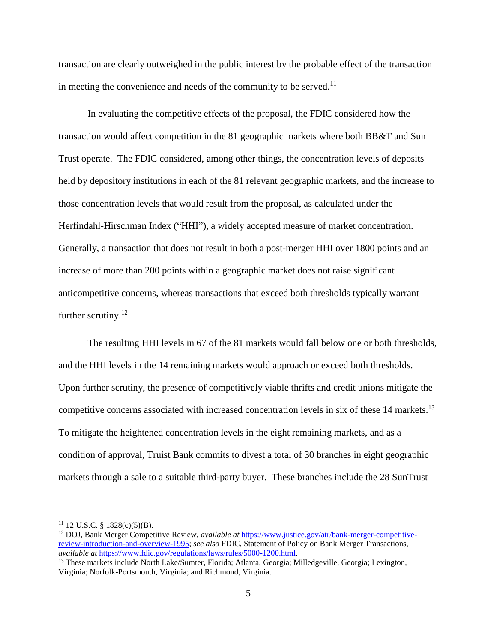transaction are clearly outweighed in the public interest by the probable effect of the transaction in meeting the convenience and needs of the community to be served. $11$ 

In evaluating the competitive effects of the proposal, the FDIC considered how the transaction would affect competition in the 81 geographic markets where both BB&T and Sun Trust operate. The FDIC considered, among other things, the concentration levels of deposits held by depository institutions in each of the 81 relevant geographic markets, and the increase to those concentration levels that would result from the proposal, as calculated under the Herfindahl-Hirschman Index ("HHI"), a widely accepted measure of market concentration. Generally, a transaction that does not result in both a post-merger HHI over 1800 points and an increase of more than 200 points within a geographic market does not raise significant anticompetitive concerns, whereas transactions that exceed both thresholds typically warrant further scrutiny. $12$ 

The resulting HHI levels in 67 of the 81 markets would fall below one or both thresholds, and the HHI levels in the 14 remaining markets would approach or exceed both thresholds. Upon further scrutiny, the presence of competitively viable thrifts and credit unions mitigate the competitive concerns associated with increased concentration levels in six of these 14 markets. 13 To mitigate the heightened concentration levels in the eight remaining markets, and as a condition of approval, Truist Bank commits to divest a total of 30 branches in eight geographic markets through a sale to a suitable third-party buyer. These branches include the 28 SunTrust

 $11$  12 U.S.C. § 1828(c)(5)(B).

<sup>12</sup> DOJ, Bank Merger Competitive Review, *available at* [https://www.justice.gov/atr/bank-merger-competitive](https://www.justice.gov/atr/bank-merger-competitive-review-introduction-and-overview-1995)[review-introduction-and-overview-1995;](https://www.justice.gov/atr/bank-merger-competitive-review-introduction-and-overview-1995) *see also* FDIC, Statement of Policy on Bank Merger Transactions, *available at* [https://www.fdic.gov/regulations/laws/rules/5000-1200.html.](https://www.fdic.gov/regulations/laws/rules/5000-1200.html) 

<sup>&</sup>lt;sup>13</sup> These markets include North Lake/Sumter, Florida; Atlanta, Georgia; Milledgeville, Georgia; Lexington, Virginia; Norfolk-Portsmouth, Virginia; and Richmond, Virginia.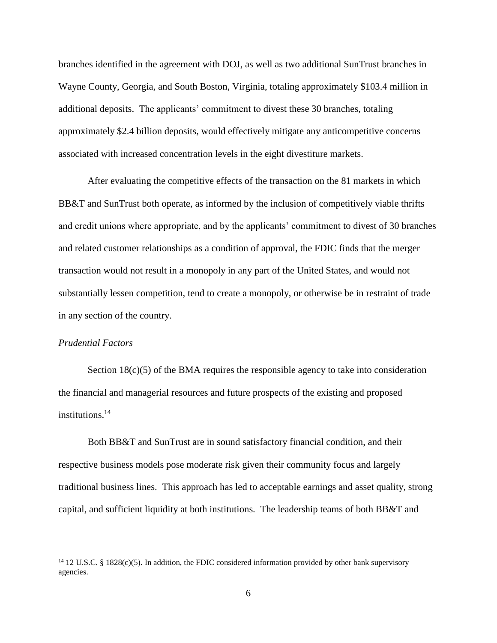branches identified in the agreement with DOJ, as well as two additional SunTrust branches in Wayne County, Georgia, and South Boston, Virginia, totaling approximately \$103.4 million in additional deposits. The applicants' commitment to divest these 30 branches, totaling approximately \$2.4 billion deposits, would effectively mitigate any anticompetitive concerns associated with increased concentration levels in the eight divestiture markets.

After evaluating the competitive effects of the transaction on the 81 markets in which BB&T and SunTrust both operate, as informed by the inclusion of competitively viable thrifts and credit unions where appropriate, and by the applicants' commitment to divest of 30 branches and related customer relationships as a condition of approval, the FDIC finds that the merger transaction would not result in a monopoly in any part of the United States, and would not substantially lessen competition, tend to create a monopoly, or otherwise be in restraint of trade in any section of the country.

# *Prudential Factors*

 $\overline{a}$ 

Section  $18(c)(5)$  of the BMA requires the responsible agency to take into consideration the financial and managerial resources and future prospects of the existing and proposed institutions.<sup>14</sup>

Both BB&T and SunTrust are in sound satisfactory financial condition, and their respective business models pose moderate risk given their community focus and largely traditional business lines. This approach has led to acceptable earnings and asset quality, strong capital, and sufficient liquidity at both institutions. The leadership teams of both BB&T and

<sup>&</sup>lt;sup>14</sup> 12 U.S.C. § 1828(c)(5). In addition, the FDIC considered information provided by other bank supervisory agencies.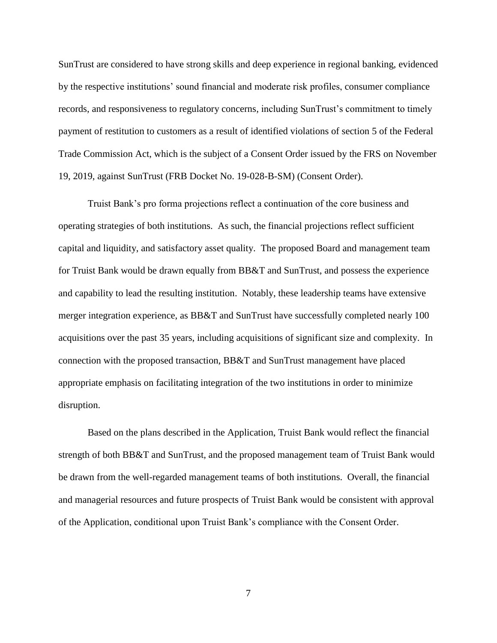SunTrust are considered to have strong skills and deep experience in regional banking, evidenced by the respective institutions' sound financial and moderate risk profiles, consumer compliance records, and responsiveness to regulatory concerns, including SunTrust's commitment to timely payment of restitution to customers as a result of identified violations of section 5 of the Federal Trade Commission Act, which is the subject of a Consent Order issued by the FRS on November 19, 2019, against SunTrust (FRB Docket No. 19-028-B-SM) (Consent Order).

Truist Bank's pro forma projections reflect a continuation of the core business and operating strategies of both institutions. As such, the financial projections reflect sufficient capital and liquidity, and satisfactory asset quality. The proposed Board and management team for Truist Bank would be drawn equally from BB&T and SunTrust, and possess the experience and capability to lead the resulting institution. Notably, these leadership teams have extensive merger integration experience, as BB&T and SunTrust have successfully completed nearly 100 acquisitions over the past 35 years, including acquisitions of significant size and complexity. In connection with the proposed transaction, BB&T and SunTrust management have placed appropriate emphasis on facilitating integration of the two institutions in order to minimize disruption.

Based on the plans described in the Application, Truist Bank would reflect the financial strength of both BB&T and SunTrust, and the proposed management team of Truist Bank would be drawn from the well-regarded management teams of both institutions. Overall, the financial and managerial resources and future prospects of Truist Bank would be consistent with approval of the Application, conditional upon Truist Bank's compliance with the Consent Order.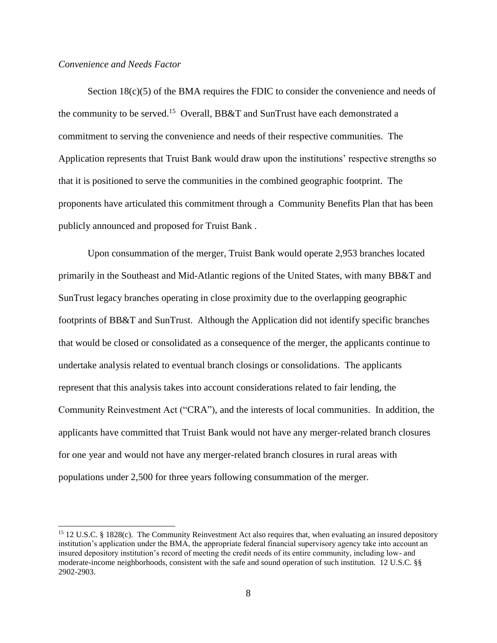## *Convenience and Needs Factor*

 $\overline{a}$ 

Section  $18(c)(5)$  of the BMA requires the FDIC to consider the convenience and needs of the community to be served.<sup>15</sup> Overall, BB&T and SunTrust have each demonstrated a commitment to serving the convenience and needs of their respective communities. The Application represents that Truist Bank would draw upon the institutions' respective strengths so that it is positioned to serve the communities in the combined geographic footprint. The proponents have articulated this commitment through a Community Benefits Plan that has been publicly announced and proposed for Truist Bank .

Upon consummation of the merger, Truist Bank would operate 2,953 branches located primarily in the Southeast and Mid-Atlantic regions of the United States, with many BB&T and SunTrust legacy branches operating in close proximity due to the overlapping geographic footprints of BB&T and SunTrust. Although the Application did not identify specific branches that would be closed or consolidated as a consequence of the merger, the applicants continue to undertake analysis related to eventual branch closings or consolidations. The applicants represent that this analysis takes into account considerations related to fair lending, the Community Reinvestment Act ("CRA"), and the interests of local communities. In addition, the applicants have committed that Truist Bank would not have any merger-related branch closures for one year and would not have any merger-related branch closures in rural areas with populations under 2,500 for three years following consummation of the merger.

<sup>&</sup>lt;sup>15</sup> 12 U.S.C. § 1828(c). The Community Reinvestment Act also requires that, when evaluating an insured depository institution's application under the BMA, the appropriate federal financial supervisory agency take into account an insured depository institution's record of meeting the credit needs of its entire community, including low- and moderate-income neighborhoods, consistent with the safe and sound operation of such institution. 12 U.S.C. §§ 2902-2903.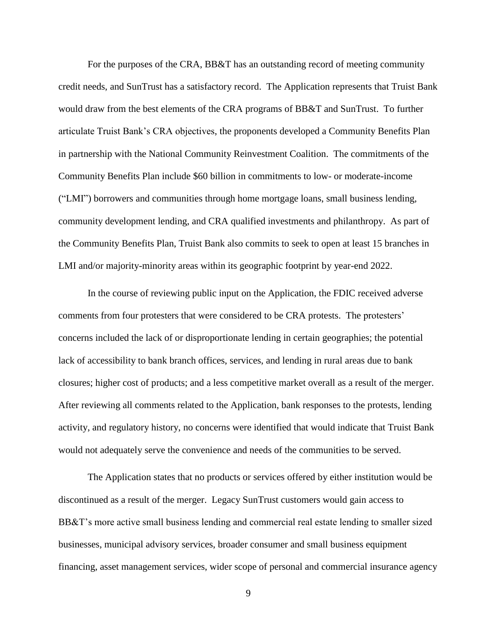For the purposes of the CRA, BB&T has an outstanding record of meeting community credit needs, and SunTrust has a satisfactory record. The Application represents that Truist Bank would draw from the best elements of the CRA programs of BB&T and SunTrust. To further articulate Truist Bank's CRA objectives, the proponents developed a Community Benefits Plan in partnership with the National Community Reinvestment Coalition. The commitments of the Community Benefits Plan include \$60 billion in commitments to low- or moderate-income ("LMI") borrowers and communities through home mortgage loans, small business lending, community development lending, and CRA qualified investments and philanthropy. As part of the Community Benefits Plan, Truist Bank also commits to seek to open at least 15 branches in LMI and/or majority-minority areas within its geographic footprint by year-end 2022.

In the course of reviewing public input on the Application, the FDIC received adverse comments from four protesters that were considered to be CRA protests. The protesters' concerns included the lack of or disproportionate lending in certain geographies; the potential lack of accessibility to bank branch offices, services, and lending in rural areas due to bank closures; higher cost of products; and a less competitive market overall as a result of the merger. After reviewing all comments related to the Application, bank responses to the protests, lending activity, and regulatory history, no concerns were identified that would indicate that Truist Bank would not adequately serve the convenience and needs of the communities to be served.

The Application states that no products or services offered by either institution would be discontinued as a result of the merger. Legacy SunTrust customers would gain access to BB&T's more active small business lending and commercial real estate lending to smaller sized businesses, municipal advisory services, broader consumer and small business equipment financing, asset management services, wider scope of personal and commercial insurance agency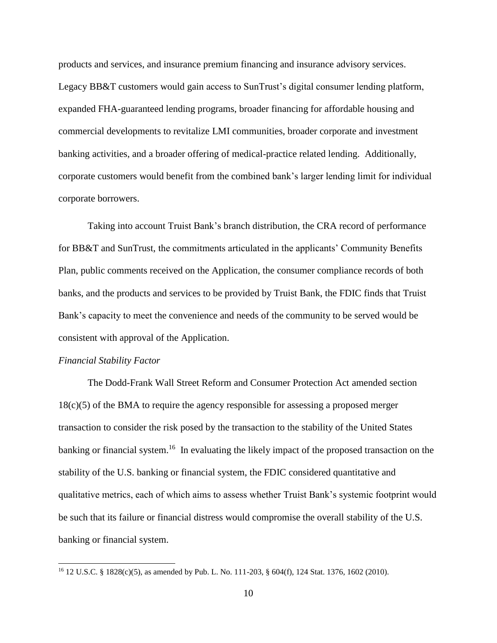products and services, and insurance premium financing and insurance advisory services. Legacy BB&T customers would gain access to SunTrust's digital consumer lending platform, expanded FHA-guaranteed lending programs, broader financing for affordable housing and commercial developments to revitalize LMI communities, broader corporate and investment banking activities, and a broader offering of medical-practice related lending. Additionally, corporate customers would benefit from the combined bank's larger lending limit for individual corporate borrowers.

Taking into account Truist Bank's branch distribution, the CRA record of performance for BB&T and SunTrust, the commitments articulated in the applicants' Community Benefits Plan, public comments received on the Application, the consumer compliance records of both banks, and the products and services to be provided by Truist Bank, the FDIC finds that Truist Bank's capacity to meet the convenience and needs of the community to be served would be consistent with approval of the Application.

### *Financial Stability Factor*

 $\overline{a}$ 

The Dodd-Frank Wall Street Reform and Consumer Protection Act amended section 18(c)(5) of the BMA to require the agency responsible for assessing a proposed merger transaction to consider the risk posed by the transaction to the stability of the United States banking or financial system.<sup>16</sup> In evaluating the likely impact of the proposed transaction on the stability of the U.S. banking or financial system, the FDIC considered quantitative and qualitative metrics, each of which aims to assess whether Truist Bank's systemic footprint would be such that its failure or financial distress would compromise the overall stability of the U.S. banking or financial system.

<sup>16</sup> 12 U.S.C. § 1828(c)(5), as amended by Pub. L. No. 111-203, § 604(f), 124 Stat. 1376, 1602 (2010).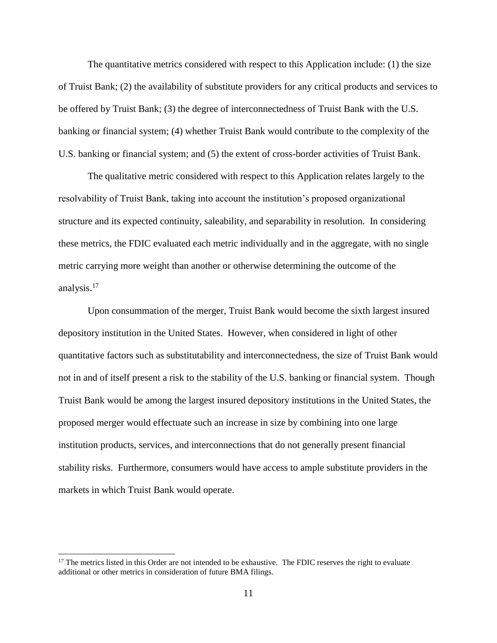The quantitative metrics considered with respect to this Application include: (1) the size of Truist Bank; (2) the availability of substitute providers for any critical products and services to be offered by Truist Bank; (3) the degree of interconnectedness of Truist Bank with the U.S. banking or financial system; (4) whether Truist Bank would contribute to the complexity of the U.S. banking or financial system; and (5) the extent of cross-border activities of Truist Bank.

The qualitative metric considered with respect to this Application relates largely to the resolvability of Truist Bank, taking into account the institution's proposed organizational structure and its expected continuity, saleability, and separability in resolution. In considering these metrics, the FDIC evaluated each metric individually and in the aggregate, with no single metric carrying more weight than another or otherwise determining the outcome of the analysis.<sup>17</sup>

Upon consummation of the merger, Truist Bank would become the sixth largest insured depository institution in the United States. However, when considered in light of other quantitative factors such as substitutability and interconnectedness, the size of Truist Bank would not in and of itself present a risk to the stability of the U.S. banking or financial system. Though Truist Bank would be among the largest insured depository institutions in the United States, the proposed merger would effectuate such an increase in size by combining into one large institution products, services, and interconnections that do not generally present financial stability risks. Furthermore, consumers would have access to ample substitute providers in the markets in which Truist Bank would operate.

 $\overline{\phantom{a}}$ 

<sup>&</sup>lt;sup>17</sup> The metrics listed in this Order are not intended to be exhaustive. The FDIC reserves the right to evaluate additional or other metrics in consideration of future BMA filings.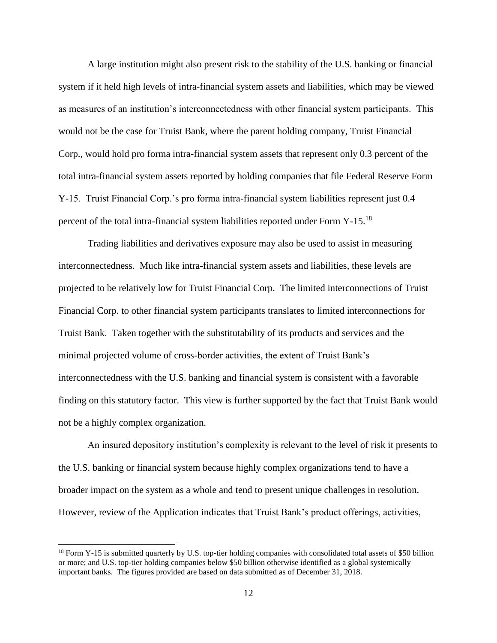A large institution might also present risk to the stability of the U.S. banking or financial system if it held high levels of intra-financial system assets and liabilities, which may be viewed as measures of an institution's interconnectedness with other financial system participants. This would not be the case for Truist Bank, where the parent holding company, Truist Financial Corp., would hold pro forma intra-financial system assets that represent only 0.3 percent of the total intra-financial system assets reported by holding companies that file Federal Reserve Form Y-15. Truist Financial Corp.'s pro forma intra-financial system liabilities represent just 0.4 percent of the total intra-financial system liabilities reported under Form Y-15.<sup>18</sup>

Trading liabilities and derivatives exposure may also be used to assist in measuring interconnectedness. Much like intra-financial system assets and liabilities, these levels are projected to be relatively low for Truist Financial Corp. The limited interconnections of Truist Financial Corp. to other financial system participants translates to limited interconnections for Truist Bank. Taken together with the substitutability of its products and services and the minimal projected volume of cross-border activities, the extent of Truist Bank's interconnectedness with the U.S. banking and financial system is consistent with a favorable finding on this statutory factor. This view is further supported by the fact that Truist Bank would not be a highly complex organization.

An insured depository institution's complexity is relevant to the level of risk it presents to the U.S. banking or financial system because highly complex organizations tend to have a broader impact on the system as a whole and tend to present unique challenges in resolution. However, review of the Application indicates that Truist Bank's product offerings, activities,

 $\overline{\phantom{a}}$ 

 $^{18}$  Form Y-15 is submitted quarterly by U.S. top-tier holding companies with consolidated total assets of \$50 billion or more; and U.S. top-tier holding companies below \$50 billion otherwise identified as a global systemically important banks. The figures provided are based on data submitted as of December 31, 2018.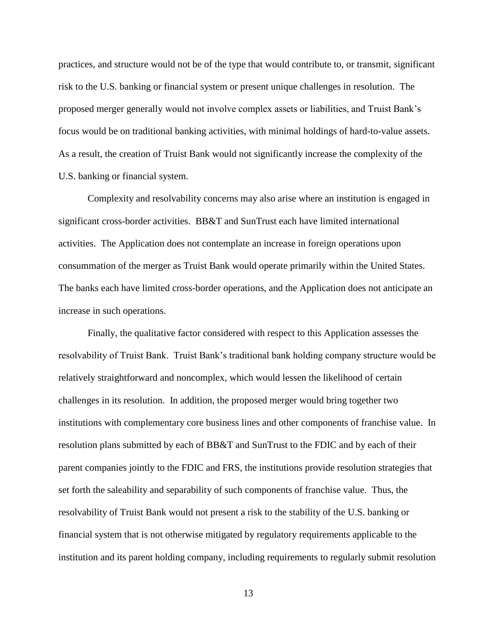practices, and structure would not be of the type that would contribute to, or transmit, significant risk to the U.S. banking or financial system or present unique challenges in resolution. The proposed merger generally would not involve complex assets or liabilities, and Truist Bank's focus would be on traditional banking activities, with minimal holdings of hard-to-value assets. As a result, the creation of Truist Bank would not significantly increase the complexity of the U.S. banking or financial system.

Complexity and resolvability concerns may also arise where an institution is engaged in significant cross-border activities. BB&T and SunTrust each have limited international activities. The Application does not contemplate an increase in foreign operations upon consummation of the merger as Truist Bank would operate primarily within the United States. The banks each have limited cross-border operations, and the Application does not anticipate an increase in such operations.

Finally, the qualitative factor considered with respect to this Application assesses the resolvability of Truist Bank. Truist Bank's traditional bank holding company structure would be relatively straightforward and noncomplex, which would lessen the likelihood of certain challenges in its resolution. In addition, the proposed merger would bring together two institutions with complementary core business lines and other components of franchise value. In resolution plans submitted by each of BB&T and SunTrust to the FDIC and by each of their parent companies jointly to the FDIC and FRS, the institutions provide resolution strategies that set forth the saleability and separability of such components of franchise value. Thus, the resolvability of Truist Bank would not present a risk to the stability of the U.S. banking or financial system that is not otherwise mitigated by regulatory requirements applicable to the institution and its parent holding company, including requirements to regularly submit resolution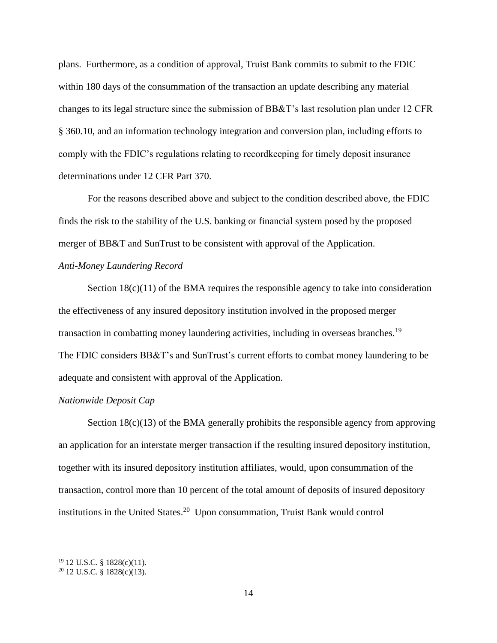plans. Furthermore, as a condition of approval, Truist Bank commits to submit to the FDIC within 180 days of the consummation of the transaction an update describing any material changes to its legal structure since the submission of BB&T's last resolution plan under 12 CFR § 360.10, and an information technology integration and conversion plan, including efforts to comply with the FDIC's regulations relating to recordkeeping for timely deposit insurance determinations under 12 CFR Part 370.

For the reasons described above and subject to the condition described above, the FDIC finds the risk to the stability of the U.S. banking or financial system posed by the proposed merger of BB&T and SunTrust to be consistent with approval of the Application.

# *Anti-Money Laundering Record*

Section  $18(c)(11)$  of the BMA requires the responsible agency to take into consideration the effectiveness of any insured depository institution involved in the proposed merger transaction in combatting money laundering activities, including in overseas branches.<sup>19</sup> The FDIC considers BB&T's and SunTrust's current efforts to combat money laundering to be adequate and consistent with approval of the Application.

# *Nationwide Deposit Cap*

Section  $18(c)(13)$  of the BMA generally prohibits the responsible agency from approving an application for an interstate merger transaction if the resulting insured depository institution, together with its insured depository institution affiliates, would, upon consummation of the transaction, control more than 10 percent of the total amount of deposits of insured depository institutions in the United States.<sup>20</sup> Upon consummation, Truist Bank would control

 $\overline{\phantom{a}}$ 

<sup>19</sup> 12 U.S.C. § 1828(c)(11).

 $20$  12 U.S.C. § 1828(c)(13).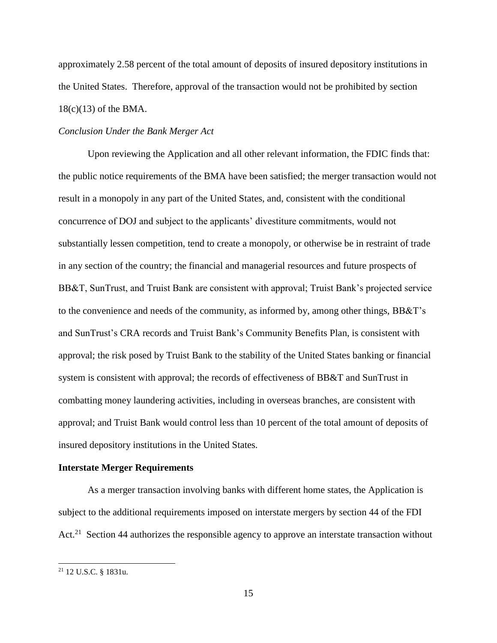approximately 2.58 percent of the total amount of deposits of insured depository institutions in the United States. Therefore, approval of the transaction would not be prohibited by section 18(c)(13) of the BMA.

# *Conclusion Under the Bank Merger Act*

Upon reviewing the Application and all other relevant information, the FDIC finds that: the public notice requirements of the BMA have been satisfied; the merger transaction would not result in a monopoly in any part of the United States, and, consistent with the conditional concurrence of DOJ and subject to the applicants' divestiture commitments, would not substantially lessen competition, tend to create a monopoly, or otherwise be in restraint of trade in any section of the country; the financial and managerial resources and future prospects of BB&T, SunTrust, and Truist Bank are consistent with approval; Truist Bank's projected service to the convenience and needs of the community, as informed by, among other things, BB&T's and SunTrust's CRA records and Truist Bank's Community Benefits Plan, is consistent with approval; the risk posed by Truist Bank to the stability of the United States banking or financial system is consistent with approval; the records of effectiveness of BB&T and SunTrust in combatting money laundering activities, including in overseas branches, are consistent with approval; and Truist Bank would control less than 10 percent of the total amount of deposits of insured depository institutions in the United States.

#### **Interstate Merger Requirements**

As a merger transaction involving banks with different home states, the Application is subject to the additional requirements imposed on interstate mergers by section 44 of the FDI Act.<sup>21</sup> Section 44 authorizes the responsible agency to approve an interstate transaction without

<sup>21</sup> 12 U.S.C. § 1831u.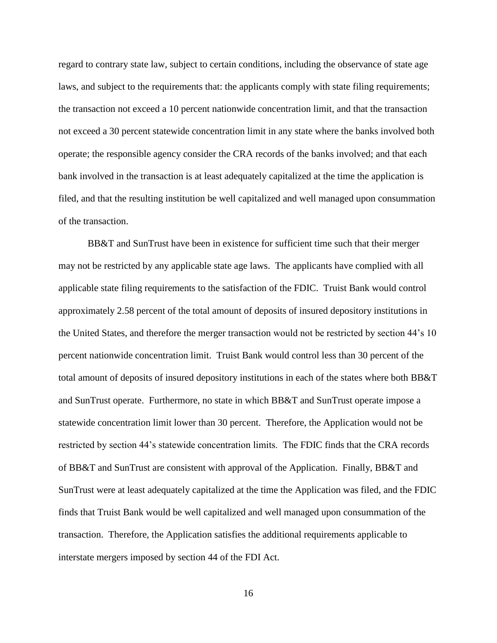regard to contrary state law, subject to certain conditions, including the observance of state age laws, and subject to the requirements that: the applicants comply with state filing requirements; the transaction not exceed a 10 percent nationwide concentration limit, and that the transaction not exceed a 30 percent statewide concentration limit in any state where the banks involved both operate; the responsible agency consider the CRA records of the banks involved; and that each bank involved in the transaction is at least adequately capitalized at the time the application is filed, and that the resulting institution be well capitalized and well managed upon consummation of the transaction.

BB&T and SunTrust have been in existence for sufficient time such that their merger may not be restricted by any applicable state age laws. The applicants have complied with all applicable state filing requirements to the satisfaction of the FDIC. Truist Bank would control approximately 2.58 percent of the total amount of deposits of insured depository institutions in the United States, and therefore the merger transaction would not be restricted by section 44's 10 percent nationwide concentration limit. Truist Bank would control less than 30 percent of the total amount of deposits of insured depository institutions in each of the states where both BB&T and SunTrust operate. Furthermore, no state in which BB&T and SunTrust operate impose a statewide concentration limit lower than 30 percent. Therefore, the Application would not be restricted by section 44's statewide concentration limits. The FDIC finds that the CRA records of BB&T and SunTrust are consistent with approval of the Application. Finally, BB&T and SunTrust were at least adequately capitalized at the time the Application was filed, and the FDIC finds that Truist Bank would be well capitalized and well managed upon consummation of the transaction. Therefore, the Application satisfies the additional requirements applicable to interstate mergers imposed by section 44 of the FDI Act.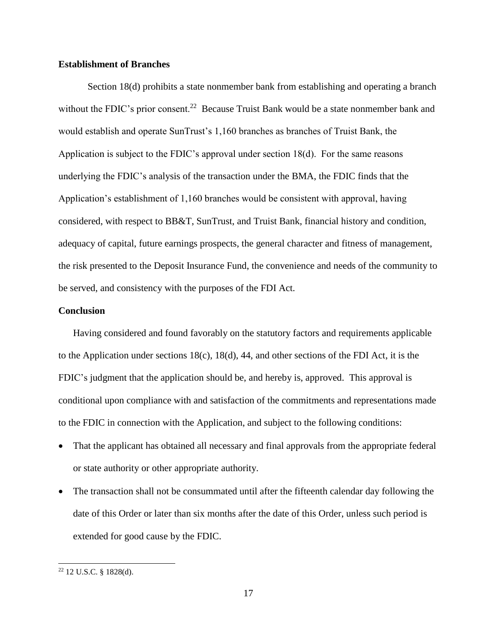## **Establishment of Branches**

Section 18(d) prohibits a state nonmember bank from establishing and operating a branch without the FDIC's prior consent.<sup>22</sup> Because Truist Bank would be a state nonmember bank and would establish and operate SunTrust's 1,160 branches as branches of Truist Bank, the Application is subject to the FDIC's approval under section 18(d). For the same reasons underlying the FDIC's analysis of the transaction under the BMA, the FDIC finds that the Application's establishment of 1,160 branches would be consistent with approval, having considered, with respect to BB&T, SunTrust, and Truist Bank, financial history and condition, adequacy of capital, future earnings prospects, the general character and fitness of management, the risk presented to the Deposit Insurance Fund, the convenience and needs of the community to be served, and consistency with the purposes of the FDI Act.

### **Conclusion**

Having considered and found favorably on the statutory factors and requirements applicable to the Application under sections 18(c), 18(d), 44, and other sections of the FDI Act, it is the FDIC's judgment that the application should be, and hereby is, approved. This approval is conditional upon compliance with and satisfaction of the commitments and representations made to the FDIC in connection with the Application, and subject to the following conditions:

- That the applicant has obtained all necessary and final approvals from the appropriate federal or state authority or other appropriate authority.
- The transaction shall not be consummated until after the fifteenth calendar day following the date of this Order or later than six months after the date of this Order, unless such period is extended for good cause by the FDIC.

<sup>22</sup> 12 U.S.C. § 1828(d).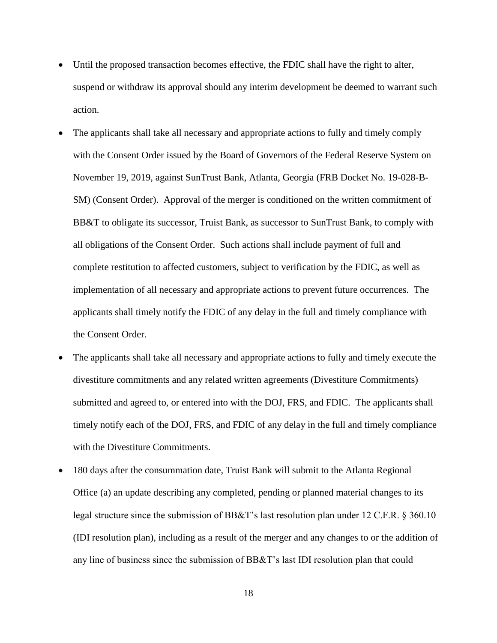- Until the proposed transaction becomes effective, the FDIC shall have the right to alter, suspend or withdraw its approval should any interim development be deemed to warrant such action.
- The applicants shall take all necessary and appropriate actions to fully and timely comply with the Consent Order issued by the Board of Governors of the Federal Reserve System on November 19, 2019, against SunTrust Bank, Atlanta, Georgia (FRB Docket No. 19-028-B-SM) (Consent Order). Approval of the merger is conditioned on the written commitment of BB&T to obligate its successor, Truist Bank, as successor to SunTrust Bank, to comply with all obligations of the Consent Order. Such actions shall include payment of full and complete restitution to affected customers, subject to verification by the FDIC, as well as implementation of all necessary and appropriate actions to prevent future occurrences. The applicants shall timely notify the FDIC of any delay in the full and timely compliance with the Consent Order.
- The applicants shall take all necessary and appropriate actions to fully and timely execute the divestiture commitments and any related written agreements (Divestiture Commitments) submitted and agreed to, or entered into with the DOJ, FRS, and FDIC. The applicants shall timely notify each of the DOJ, FRS, and FDIC of any delay in the full and timely compliance with the Divestiture Commitments.
- 180 days after the consummation date, Truist Bank will submit to the Atlanta Regional Office (a) an update describing any completed, pending or planned material changes to its legal structure since the submission of BB&T's last resolution plan under 12 C.F.R. § 360.10 (IDI resolution plan), including as a result of the merger and any changes to or the addition of any line of business since the submission of BB&T's last IDI resolution plan that could